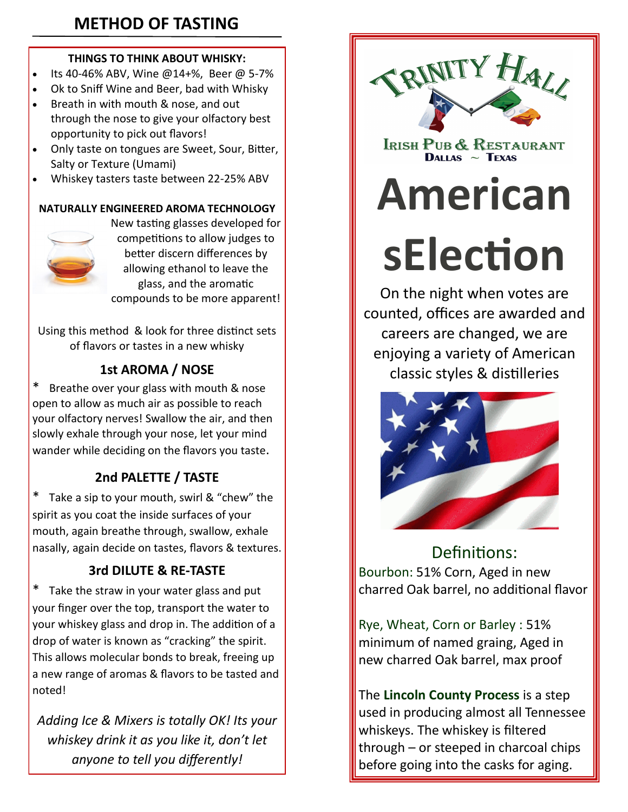## **METHOD OF TASTING**

#### **THINGS TO THINK ABOUT WHISKY:**

- Its 40-46% ABV, Wine @14+%, Beer @ 5-7%
- Ok to Sniff Wine and Beer, bad with Whisky
- Breath in with mouth & nose, and out through the nose to give your olfactory best opportunity to pick out flavors!
- Only taste on tongues are Sweet, Sour, Bitter, Salty or Texture (Umami)
- Whiskey tasters taste between 22-25% ABV

#### **NATURALLY ENGINEERED AROMA TECHNOLOGY**



New tasting glasses developed for competitions to allow judges to better discern differences by allowing ethanol to leave the glass, and the aromatic compounds to be more apparent!

Using this method & look for three distinct sets of flavors or tastes in a new whisky

## **1st AROMA / NOSE**

Breathe over your glass with mouth & nose open to allow as much air as possible to reach your olfactory nerves! Swallow the air, and then slowly exhale through your nose, let your mind wander while deciding on the flavors you taste.

## **2nd PALETTE / TASTE**

\* Take a sip to your mouth, swirl & "chew" the spirit as you coat the inside surfaces of your mouth, again breathe through, swallow, exhale nasally, again decide on tastes, flavors & textures.

### **3rd DILUTE & RE-TASTE**

Take the straw in your water glass and put your finger over the top, transport the water to your whiskey glass and drop in. The addition of a drop of water is known as "cracking" the spirit. This allows molecular bonds to break, freeing up a new range of aromas & flavors to be tasted and noted!

*Adding Ice & Mixers is totally OK! Its your whiskey drink it as you like it, don't let anyone to tell you differently!*



IRISH PUB & RESTAURANT DALLAS  $\sim$  TEXAS

# **American**

**sElection**

On the night when votes are counted, offices are awarded and careers are changed, we are enjoying a variety of American classic styles & distilleries



Definitions: Bourbon: 51% Corn, Aged in new charred Oak barrel, no additional flavor

Rye, Wheat, Corn or Barley : 51% minimum of named graing, Aged in new charred Oak barrel, max proof

The **Lincoln County Process** is a step used in producing almost all Tennessee whiskeys. The whiskey is filtered through – or steeped in charcoal chips before going into the casks for aging.